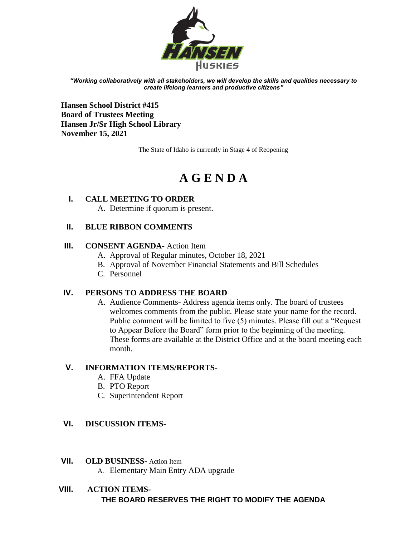

*"Working collaboratively with all stakeholders, we will develop the skills and qualities necessary to create lifelong learners and productive citizens"*

**Hansen School District #415 Board of Trustees Meeting Hansen Jr/Sr High School Library November 15, 2021** 

The State of Idaho is currently in Stage 4 of Reopening

# **A G E N D A**

#### **I. CALL MEETING TO ORDER** A. Determine if quorum is present.

# **II. BLUE RIBBON COMMENTS**

#### **III. CONSENT AGENDA-** Action Item

- A. Approval of Regular minutes, October 18, 2021
- B. Approval of November Financial Statements and Bill Schedules
- C. Personnel

#### **IV. PERSONS TO ADDRESS THE BOARD**

A. Audience Comments- Address agenda items only. The board of trustees welcomes comments from the public. Please state your name for the record. Public comment will be limited to five (5) minutes. Please fill out a "Request to Appear Before the Board" form prior to the beginning of the meeting. These forms are available at the District Office and at the board meeting each month.

#### **V. INFORMATION ITEMS/REPORTS-**

- A. FFA Update
- B. PTO Report
- C. Superintendent Report

#### **VI. DISCUSSION ITEMS-**

#### **VII. OLD BUSINESS-** Action Item

A. Elementary Main Entry ADA upgrade

**THE BOARD RESERVES THE RIGHT TO MODIFY THE AGENDA VIII. ACTION ITEMS-**